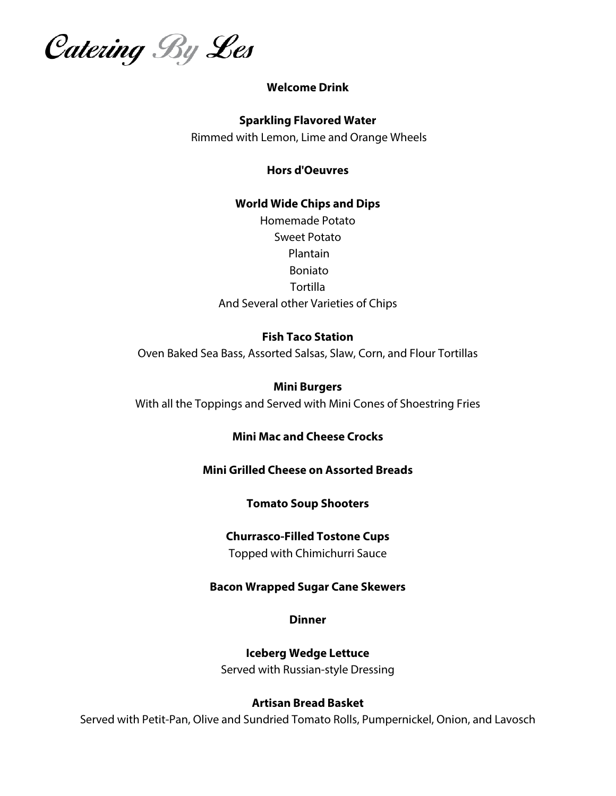Catering By Les

## **Welcome Drink**

#### **Sparkling Flavored Water**

Rimmed with Lemon, Lime and Orange Wheels

**Hors d'Oeuvres**

# **World Wide Chips and Dips**  Homemade Potato Sweet Potato Plantain Boniato **Tortilla** And Several other Varieties of Chips

## **Fish Taco Station**

Oven Baked Sea Bass, Assorted Salsas, Slaw, Corn, and Flour Tortillas

#### **Mini Burgers**

With all the Toppings and Served with Mini Cones of Shoestring Fries

# **Mini Mac and Cheese Crocks**

## **Mini Grilled Cheese on Assorted Breads**

## **Tomato Soup Shooters**

## **Churrasco-Filled Tostone Cups**

Topped with Chimichurri Sauce

## **Bacon Wrapped Sugar Cane Skewers**

**Dinner**

**Iceberg Wedge Lettuce**  Served with Russian-style Dressing

## **Artisan Bread Basket**

Served with Petit-Pan, Olive and Sundried Tomato Rolls, Pumpernickel, Onion, and Lavosch